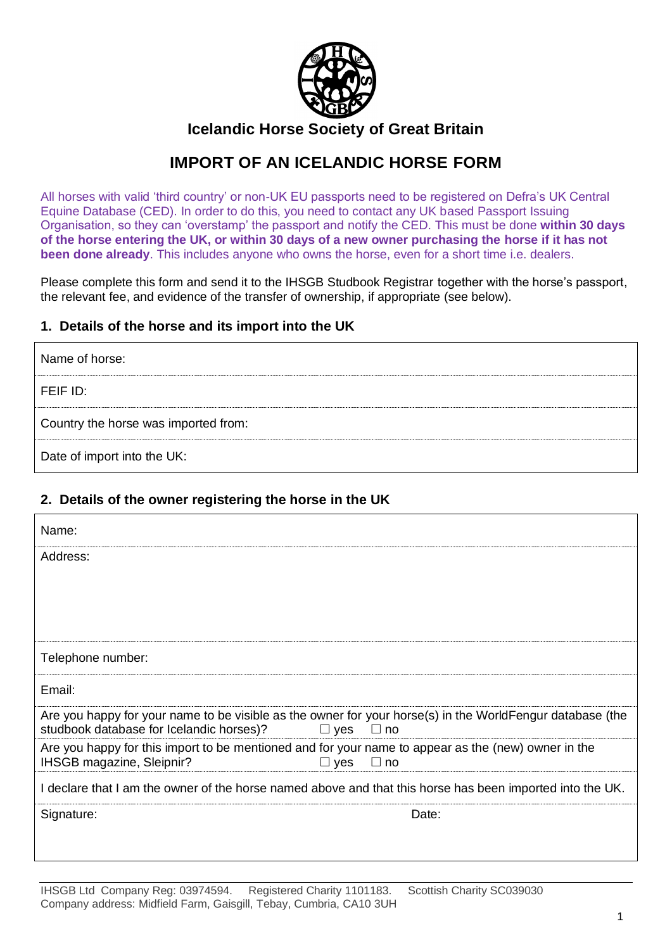

## **Icelandic Horse Society of Great Britain**

# **IMPORT OF AN ICELANDIC HORSE FORM**

All horses with valid 'third country' or non-UK EU passports need to be registered on Defra's UK Central Equine Database (CED). In order to do this, you need to contact any UK based Passport Issuing Organisation, so they can 'overstamp' the passport and notify the CED. This must be done **within 30 days of the horse entering the UK, or within 30 days of a new owner purchasing the horse if it has not been done already**. This includes anyone who owns the horse, even for a short time i.e. dealers.

Please complete this form and send it to the IHSGB Studbook Registrar together with the horse's passport, the relevant fee, and evidence of the transfer of ownership, if appropriate (see below).

### **1. Details of the horse and its import into the UK**

| Name of horse:                       |
|--------------------------------------|
| FEIF ID:                             |
| Country the horse was imported from: |
| Date of import into the UK:          |

## **2. Details of the owner registering the horse in the UK**

| Name:                                                                                                                                                                            |  |  |
|----------------------------------------------------------------------------------------------------------------------------------------------------------------------------------|--|--|
| Address:                                                                                                                                                                         |  |  |
|                                                                                                                                                                                  |  |  |
|                                                                                                                                                                                  |  |  |
|                                                                                                                                                                                  |  |  |
| Telephone number:                                                                                                                                                                |  |  |
| Email:                                                                                                                                                                           |  |  |
| Are you happy for your name to be visible as the owner for your horse(s) in the WorldFengur database (the<br>studbook database for Icelandic horses)?<br>$\Box$ yes<br>$\Box$ no |  |  |
| Are you happy for this import to be mentioned and for your name to appear as the (new) owner in the<br>IHSGB magazine, Sleipnir?<br>$\Box$ no<br>$\Box$ yes                      |  |  |
| I declare that I am the owner of the horse named above and that this horse has been imported into the UK.                                                                        |  |  |
| Signature:<br>Date:                                                                                                                                                              |  |  |
|                                                                                                                                                                                  |  |  |